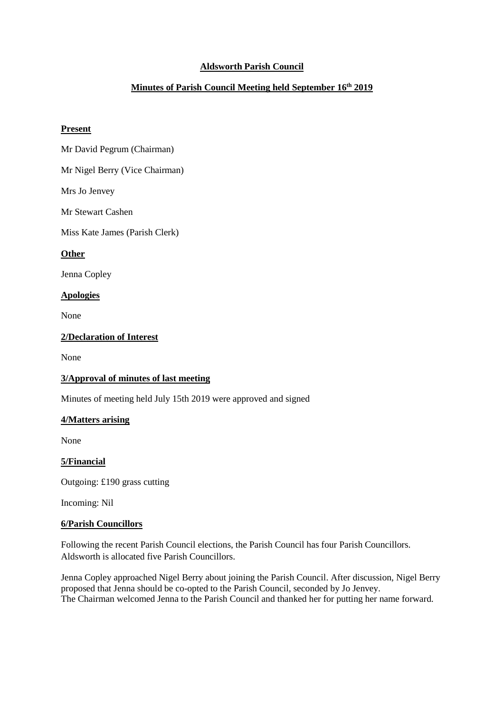# **Aldsworth Parish Council**

# **Minutes of Parish Council Meeting held September 16 th 2019**

#### **Present**

Mr David Pegrum (Chairman)

Mr Nigel Berry (Vice Chairman)

Mrs Jo Jenvey

Mr Stewart Cashen

Miss Kate James (Parish Clerk)

### **Other**

Jenna Copley

### **Apologies**

None

### **2/Declaration of Interest**

None

#### **3/Approval of minutes of last meeting**

Minutes of meeting held July 15th 2019 were approved and signed

#### **4/Matters arising**

None

### **5/Financial**

Outgoing: £190 grass cutting

Incoming: Nil

#### **6/Parish Councillors**

Following the recent Parish Council elections, the Parish Council has four Parish Councillors. Aldsworth is allocated five Parish Councillors.

Jenna Copley approached Nigel Berry about joining the Parish Council. After discussion, Nigel Berry proposed that Jenna should be co-opted to the Parish Council, seconded by Jo Jenvey. The Chairman welcomed Jenna to the Parish Council and thanked her for putting her name forward.